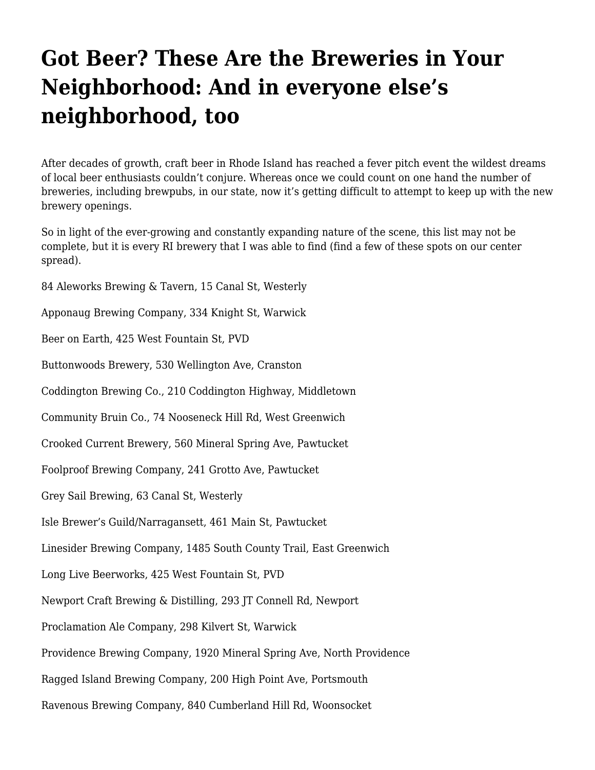## **[Got Beer? These Are the Breweries in Your](https://motifri.com/gotbeerjuni2019/) [Neighborhood: And in everyone else's](https://motifri.com/gotbeerjuni2019/) [neighborhood, too](https://motifri.com/gotbeerjuni2019/)**

After decades of growth, craft beer in Rhode Island has reached a fever pitch event the wildest dreams of local beer enthusiasts couldn't conjure. Whereas once we could count on one hand the number of breweries, including brewpubs, in our state, now it's getting difficult to attempt to keep up with the new brewery openings.

So in light of the ever-growing and constantly expanding nature of the scene, this list may not be complete, but it is every RI brewery that I was able to find (find a few of these spots on our center spread).

84 Aleworks Brewing & Tavern, 15 Canal St, Westerly Apponaug Brewing Company, 334 Knight St, Warwick Beer on Earth, 425 West Fountain St, PVD Buttonwoods Brewery, 530 Wellington Ave, Cranston Coddington Brewing Co., 210 Coddington Highway, Middletown Community Bruin Co., 74 Nooseneck Hill Rd, West Greenwich Crooked Current Brewery, 560 Mineral Spring Ave, Pawtucket Foolproof Brewing Company, 241 Grotto Ave, Pawtucket Grey Sail Brewing, 63 Canal St, Westerly Isle Brewer's Guild/Narragansett, 461 Main St, Pawtucket Linesider Brewing Company, 1485 South County Trail, East Greenwich Long Live Beerworks, 425 West Fountain St, PVD Newport Craft Brewing & Distilling, 293 JT Connell Rd, Newport Proclamation Ale Company, 298 Kilvert St, Warwick Providence Brewing Company, 1920 Mineral Spring Ave, North Providence Ragged Island Brewing Company, 200 High Point Ave, Portsmouth

Ravenous Brewing Company, 840 Cumberland Hill Rd, Woonsocket